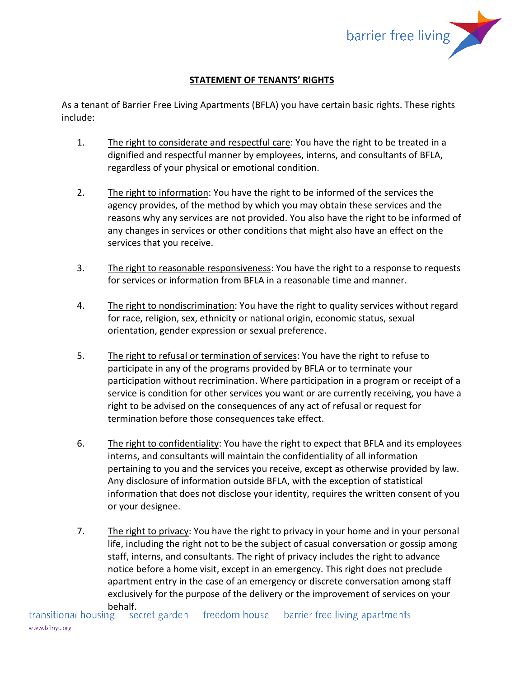

# **STATEMENT OF TENANTS' RIGHTS**

As a tenant of Barrier Free Living Apartments (BFLA) you have certain basic rights. These rights include:

- 1. The right to considerate and respectful care: You have the right to be treated in a dignified and respectful manner by employees, interns, and consultants of BFLA, regardless of your physical or emotional condition.
- 2. The right to information: You have the right to be informed of the services the agency provides, of the method by which you may obtain these services and the reasons why any services are not provided. You also have the right to be informed of any changes in services or other conditions that might also have an effect on the services that you receive.
- 3. The right to reasonable responsiveness: You have the right to a response to requests for services or information from BFLA in a reasonable time and manner.
- 4. The right to nondiscrimination: You have the right to quality services without regard for race, religion, sex, ethnicity or national origin, economic status, sexual orientation, gender expression or sexual preference.
- 5. The right to refusal or termination of services: You have the right to refuse to participate in any of the programs provided by BFLA or to terminate your participation without recrimination. Where participation in a program or receipt of a service is condition for other services you want or are currently receiving, you have a right to be advised on the consequences of any act of refusal or request for termination before those consequences take effect.
- 6. The right to confidentiality: You have the right to expect that BFLA and its employees interns, and consultants will maintain the confidentiality of all information pertaining to you and the services you receive, except as otherwise provided by law. Any disclosure of information outside BFLA, with the exception of statistical information that does not disclose your identity, requires the written consent of you or your designee.
- 7. The right to privacy: You have the right to privacy in your home and in your personal life, including the right not to be the subject of casual conversation or gossip among staff, interns, and consultants. The right of privacy includes the right to advance notice before a home visit, except in an emergency. This right does not preclude apartment entry in the case of an emergency or discrete conversation among staff exclusively for the purpose of the delivery or the improvement of services on your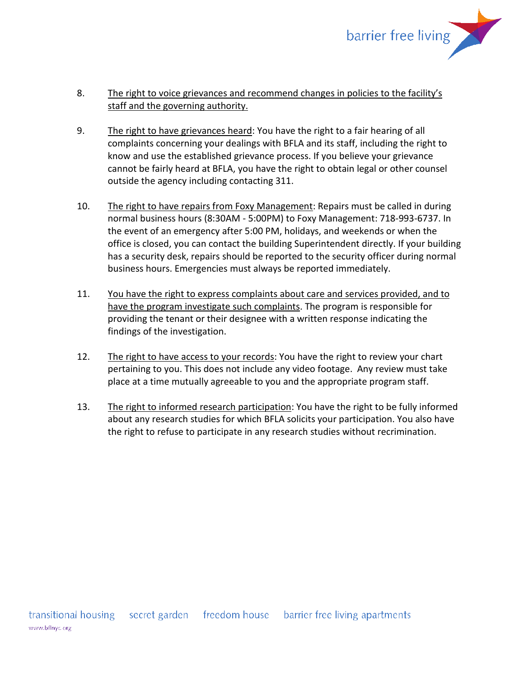

# 8. The right to voice grievances and recommend changes in policies to the facility's staff and the governing authority.

- 9. The right to have grievances heard: You have the right to a fair hearing of all complaints concerning your dealings with BFLA and its staff, including the right to know and use the established grievance process. If you believe your grievance cannot be fairly heard at BFLA, you have the right to obtain legal or other counsel outside the agency including contacting 311.
- 10. The right to have repairs from Foxy Management: Repairs must be called in during normal business hours (8:30AM - 5:00PM) to Foxy Management: 718-993-6737. In the event of an emergency after 5:00 PM, holidays, and weekends or when the office is closed, you can contact the building Superintendent directly. If your building has a security desk, repairs should be reported to the security officer during normal business hours. Emergencies must always be reported immediately.
- 11. You have the right to express complaints about care and services provided, and to have the program investigate such complaints. The program is responsible for providing the tenant or their designee with a written response indicating the findings of the investigation.
- 12. The right to have access to your records: You have the right to review your chart pertaining to you. This does not include any video footage. Any review must take place at a time mutually agreeable to you and the appropriate program staff.
- 13. The right to informed research participation: You have the right to be fully informed about any research studies for which BFLA solicits your participation. You also have the right to refuse to participate in any research studies without recrimination.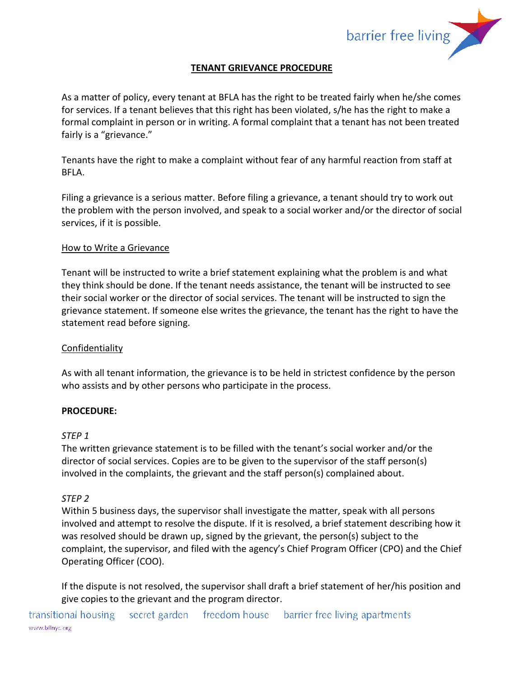

# **TENANT GRIEVANCE PROCEDURE**

As a matter of policy, every tenant at BFLA has the right to be treated fairly when he/she comes for services. If a tenant believes that this right has been violated, s/he has the right to make a formal complaint in person or in writing. A formal complaint that a tenant has not been treated fairly is a "grievance."

Tenants have the right to make a complaint without fear of any harmful reaction from staff at BFLA.

Filing a grievance is a serious matter. Before filing a grievance, a tenant should try to work out the problem with the person involved, and speak to a social worker and/or the director of social services, if it is possible.

### How to Write a Grievance

Tenant will be instructed to write a brief statement explaining what the problem is and what they think should be done. If the tenant needs assistance, the tenant will be instructed to see their social worker or the director of social services. The tenant will be instructed to sign the grievance statement. If someone else writes the grievance, the tenant has the right to have the statement read before signing.

### Confidentiality

As with all tenant information, the grievance is to be held in strictest confidence by the person who assists and by other persons who participate in the process.

### **PROCEDURE:**

#### *STEP 1*

The written grievance statement is to be filled with the tenant's social worker and/or the director of social services. Copies are to be given to the supervisor of the staff person(s) involved in the complaints, the grievant and the staff person(s) complained about.

### *STEP 2*

Within 5 business days, the supervisor shall investigate the matter, speak with all persons involved and attempt to resolve the dispute. If it is resolved, a brief statement describing how it was resolved should be drawn up, signed by the grievant, the person(s) subject to the complaint, the supervisor, and filed with the agency's Chief Program Officer (CPO) and the Chief Operating Officer (COO).

If the dispute is not resolved, the supervisor shall draft a brief statement of her/his position and give copies to the grievant and the program director.

transitional housing secret garden freedom house barrier free living apartments www.bflnyc.org